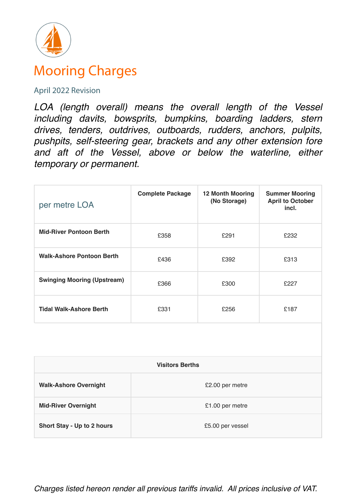

## Mooring Charges

## April 2022 Revision

*LOA (length overall) means the overall length of the Vessel including davits, bowsprits, bumpkins, boarding ladders, stern drives, tenders, outdrives, outboards, rudders, anchors, pulpits, pushpits, self-steering gear, brackets and any other extension fore and aft of the Vessel, above or below the waterline, either temporary or permanent.*

| per metre LOA                      | <b>Complete Package</b> | <b>12 Month Mooring</b><br>(No Storage) | <b>Summer Mooring</b><br><b>April to October</b><br>incl. |
|------------------------------------|-------------------------|-----------------------------------------|-----------------------------------------------------------|
| <b>Mid-River Pontoon Berth</b>     | £358                    | £291                                    | £232                                                      |
| <b>Walk-Ashore Pontoon Berth</b>   | £436                    | £392                                    | £313                                                      |
| <b>Swinging Mooring (Upstream)</b> | £366                    | £300                                    | £227                                                      |
| <b>Tidal Walk-Ashore Berth</b>     | £331                    | £256                                    | £187                                                      |
|                                    |                         |                                         |                                                           |

| <b>Visitors Berths</b>       |                  |  |
|------------------------------|------------------|--|
| <b>Walk-Ashore Overnight</b> | £2.00 per metre  |  |
| <b>Mid-River Overnight</b>   | £1.00 per metre  |  |
| Short Stay - Up to 2 hours   | £5.00 per vessel |  |